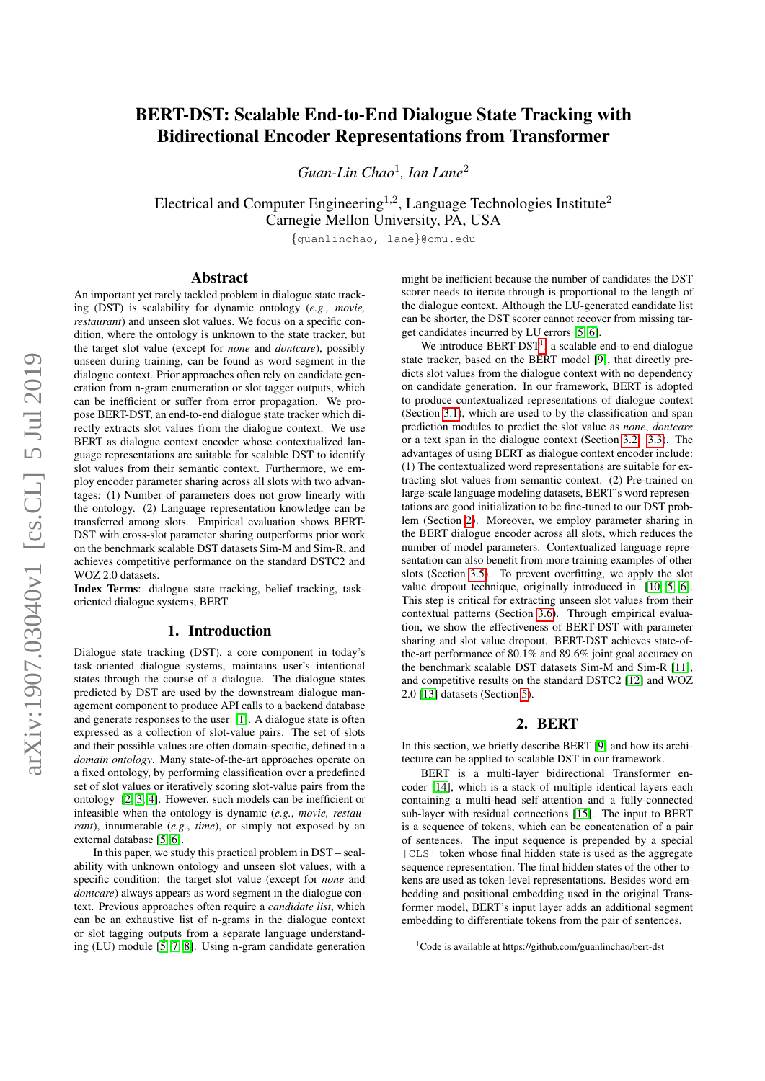# BERT-DST: Scalable End-to-End Dialogue State Tracking with Bidirectional Encoder Representations from Transformer

Guan-Lin Chao<sup>1</sup>, Ian Lane<sup>2</sup>

Electrical and Computer Engineering<sup>1,2</sup>, Language Technologies Institute<sup>2</sup> Carnegie Mellon University, PA, USA

{guanlinchao, lane}@cmu.edu

## Abstract

An important yet rarely tackled problem in dialogue state tracking (DST) is scalability for dynamic ontology (*e.g., movie, restaurant*) and unseen slot values. We focus on a specific condition, where the ontology is unknown to the state tracker, but the target slot value (except for *none* and *dontcare*), possibly unseen during training, can be found as word segment in the dialogue context. Prior approaches often rely on candidate generation from n-gram enumeration or slot tagger outputs, which can be inefficient or suffer from error propagation. We propose BERT-DST, an end-to-end dialogue state tracker which directly extracts slot values from the dialogue context. We use BERT as dialogue context encoder whose contextualized language representations are suitable for scalable DST to identify slot values from their semantic context. Furthermore, we employ encoder parameter sharing across all slots with two advantages: (1) Number of parameters does not grow linearly with the ontology. (2) Language representation knowledge can be transferred among slots. Empirical evaluation shows BERT-DST with cross-slot parameter sharing outperforms prior work on the benchmark scalable DST datasets Sim-M and Sim-R, and achieves competitive performance on the standard DSTC2 and WOZ 2.0 datasets.

Index Terms: dialogue state tracking, belief tracking, taskoriented dialogue systems, BERT

## 1. Introduction

Dialogue state tracking (DST), a core component in today's task-oriented dialogue systems, maintains user's intentional states through the course of a dialogue. The dialogue states predicted by DST are used by the downstream dialogue management component to produce API calls to a backend database and generate responses to the user [\[1\]](#page-4-0). A dialogue state is often expressed as a collection of slot-value pairs. The set of slots and their possible values are often domain-specific, defined in a *domain ontology*. Many state-of-the-art approaches operate on a fixed ontology, by performing classification over a predefined set of slot values or iteratively scoring slot-value pairs from the ontology [\[2,](#page-4-1) [3,](#page-4-2) [4\]](#page-4-3). However, such models can be inefficient or infeasible when the ontology is dynamic (*e.g.*, *movie, restaurant*), innumerable (*e.g.*, *time*), or simply not exposed by an external database [\[5,](#page-4-4) [6\]](#page-4-5).

In this paper, we study this practical problem in DST – scalability with unknown ontology and unseen slot values, with a specific condition: the target slot value (except for *none* and *dontcare*) always appears as word segment in the dialogue context. Previous approaches often require a *candidate list*, which can be an exhaustive list of n-grams in the dialogue context or slot tagging outputs from a separate language understanding (LU) module [\[5,](#page-4-4) [7,](#page-4-6) [8\]](#page-4-7). Using n-gram candidate generation

might be inefficient because the number of candidates the DST scorer needs to iterate through is proportional to the length of the dialogue context. Although the LU-generated candidate list can be shorter, the DST scorer cannot recover from missing target candidates incurred by LU errors [\[5,](#page-4-4) [6\]](#page-4-5).

We introduce  $BERT-DT<sup>1</sup>$  $BERT-DT<sup>1</sup>$  $BERT-DT<sup>1</sup>$ , a scalable end-to-end dialogue state tracker, based on the BERT model [\[9\]](#page-4-8), that directly predicts slot values from the dialogue context with no dependency on candidate generation. In our framework, BERT is adopted to produce contextualized representations of dialogue context (Section [3.1\)](#page-1-0), which are used to by the classification and span prediction modules to predict the slot value as *none*, *dontcare* or a text span in the dialogue context (Section [3.2,](#page-2-0) [3.3\)](#page-2-1). The advantages of using BERT as dialogue context encoder include: (1) The contextualized word representations are suitable for extracting slot values from semantic context. (2) Pre-trained on large-scale language modeling datasets, BERT's word representations are good initialization to be fine-tuned to our DST problem (Section [2\)](#page-0-1). Moreover, we employ parameter sharing in the BERT dialogue encoder across all slots, which reduces the number of model parameters. Contextualized language representation can also benefit from more training examples of other slots (Section [3.5\)](#page-2-2). To prevent overfitting, we apply the slot value dropout technique, originally introduced in [\[10,](#page-4-9) [5,](#page-4-4) [6\]](#page-4-5). This step is critical for extracting unseen slot values from their contextual patterns (Section [3.6\)](#page-2-3). Through empirical evaluation, we show the effectiveness of BERT-DST with parameter sharing and slot value dropout. BERT-DST achieves state-ofthe-art performance of 80.1% and 89.6% joint goal accuracy on the benchmark scalable DST datasets Sim-M and Sim-R [\[11\]](#page-4-10), and competitive results on the standard DSTC2 [\[12\]](#page-4-11) and WOZ 2.0 [\[13\]](#page-4-12) datasets (Section [5\)](#page-3-0).

## 2. BERT

<span id="page-0-1"></span>In this section, we briefly describe BERT [\[9\]](#page-4-8) and how its architecture can be applied to scalable DST in our framework.

BERT is a multi-layer bidirectional Transformer encoder [\[14\]](#page-4-13), which is a stack of multiple identical layers each containing a multi-head self-attention and a fully-connected sub-layer with residual connections [\[15\]](#page-4-14). The input to BERT is a sequence of tokens, which can be concatenation of a pair of sentences. The input sequence is prepended by a special [CLS] token whose final hidden state is used as the aggregate sequence representation. The final hidden states of the other tokens are used as token-level representations. Besides word embedding and positional embedding used in the original Transformer model, BERT's input layer adds an additional segment embedding to differentiate tokens from the pair of sentences.

<span id="page-0-0"></span><sup>1</sup>Code is available at https://github.com/guanlinchao/bert-dst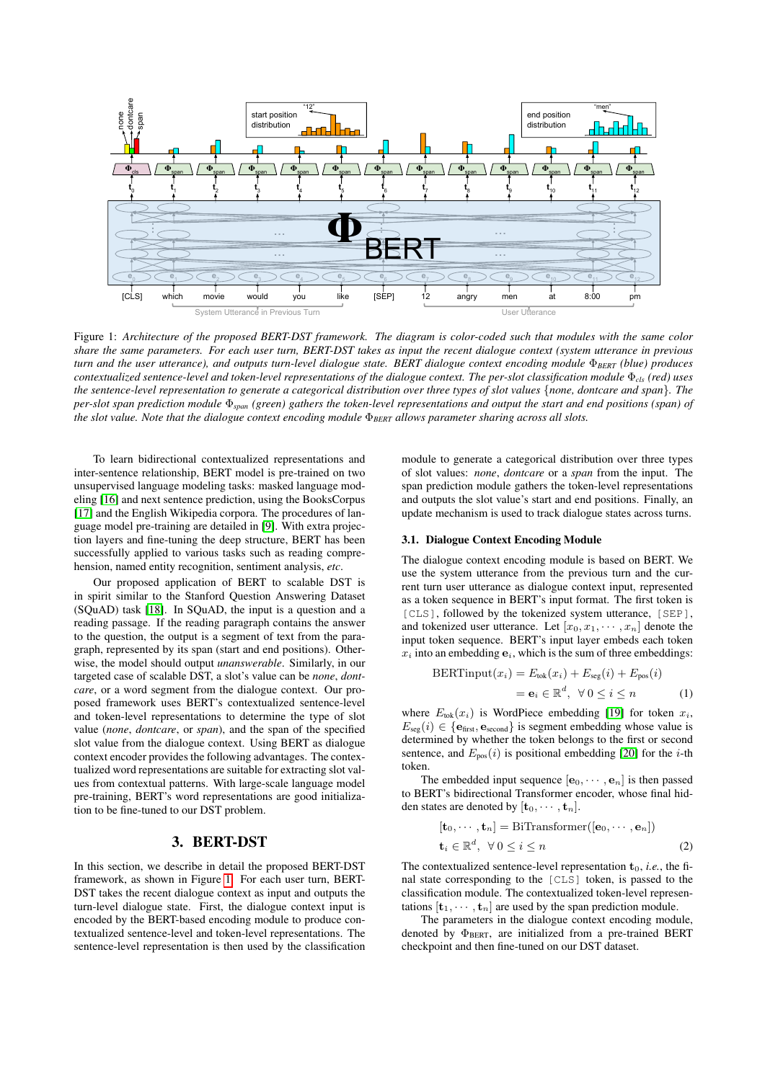<span id="page-1-1"></span>

Figure 1: *Architecture of the proposed BERT-DST framework. The diagram is color-coded such that modules with the same color share the same parameters. For each user turn, BERT-DST takes as input the recent dialogue context (system utterance in previous turn and the user utterance), and outputs turn-level dialogue state. BERT dialogue context encoding module* Φ*BERT (blue) produces contextualized sentence-level and token-level representations of the dialogue context. The per-slot classification module* Φ*cls (red) uses the sentence-level representation to generate a categorical distribution over three types of slot values* {*none, dontcare and span*}*. The per-slot span prediction module* Φ*span (green) gathers the token-level representations and output the start and end positions (span) of the slot value. Note that the dialogue context encoding module* Φ*BERT allows parameter sharing across all slots.*

To learn bidirectional contextualized representations and inter-sentence relationship, BERT model is pre-trained on two unsupervised language modeling tasks: masked language modeling [\[16\]](#page-4-15) and next sentence prediction, using the BooksCorpus [\[17\]](#page-4-16) and the English Wikipedia corpora. The procedures of language model pre-training are detailed in [\[9\]](#page-4-8). With extra projection layers and fine-tuning the deep structure, BERT has been successfully applied to various tasks such as reading comprehension, named entity recognition, sentiment analysis, *etc*.

Our proposed application of BERT to scalable DST is in spirit similar to the Stanford Question Answering Dataset (SQuAD) task [\[18\]](#page-4-17). In SQuAD, the input is a question and a reading passage. If the reading paragraph contains the answer to the question, the output is a segment of text from the paragraph, represented by its span (start and end positions). Otherwise, the model should output *unanswerable*. Similarly, in our targeted case of scalable DST, a slot's value can be *none*, *dontcare*, or a word segment from the dialogue context. Our proposed framework uses BERT's contextualized sentence-level and token-level representations to determine the type of slot value (*none*, *dontcare*, or *span*), and the span of the specified slot value from the dialogue context. Using BERT as dialogue context encoder provides the following advantages. The contextualized word representations are suitable for extracting slot values from contextual patterns. With large-scale language model pre-training, BERT's word representations are good initialization to be fine-tuned to our DST problem.

## 3. BERT-DST

In this section, we describe in detail the proposed BERT-DST framework, as shown in Figure [1.](#page-1-1) For each user turn, BERT-DST takes the recent dialogue context as input and outputs the turn-level dialogue state. First, the dialogue context input is encoded by the BERT-based encoding module to produce contextualized sentence-level and token-level representations. The sentence-level representation is then used by the classification module to generate a categorical distribution over three types of slot values: *none*, *dontcare* or a *span* from the input. The span prediction module gathers the token-level representations and outputs the slot value's start and end positions. Finally, an update mechanism is used to track dialogue states across turns.

#### <span id="page-1-0"></span>3.1. Dialogue Context Encoding Module

The dialogue context encoding module is based on BERT. We use the system utterance from the previous turn and the current turn user utterance as dialogue context input, represented as a token sequence in BERT's input format. The first token is [CLS], followed by the tokenized system utterance, [SEP], and tokenized user utterance. Let  $[x_0, x_1, \dots, x_n]$  denote the input token sequence. BERT's input layer embeds each token  $x_i$  into an embedding  $e_i$ , which is the sum of three embeddings:

$$
BERT input(x_i) = E_{\text{tok}}(x_i) + E_{\text{seg}}(i) + E_{\text{pos}}(i)
$$
  
=  $\mathbf{e}_i \in \mathbb{R}^d$ ,  $\forall 0 \le i \le n$  (1)

where  $E_{\text{tok}}(x_i)$  is WordPiece embedding [\[19\]](#page-4-18) for token  $x_i$ ,  $E_{\text{seg}}(i) \in \{\mathbf{e}_{\text{first}}, \mathbf{e}_{\text{second}}\}$  is segment embedding whose value is determined by whether the token belongs to the first or second sentence, and  $E_{\text{pos}}(i)$  is positional embedding [\[20\]](#page-4-19) for the *i*-th token.

The embedded input sequence  $[\mathbf{e}_0, \cdots, \mathbf{e}_n]$  is then passed to BERT's bidirectional Transformer encoder, whose final hidden states are denoted by  $[\mathbf{t}_0, \cdots, \mathbf{t}_n]$ .

$$
[\mathbf{t}_0, \cdots, \mathbf{t}_n] = \text{BiTransformer}([\mathbf{e}_0, \cdots, \mathbf{e}_n])
$$

$$
\mathbf{t}_i \in \mathbb{R}^d, \ \forall \ 0 \le i \le n
$$
 (2)

The contextualized sentence-level representation  $t_0$ , *i.e.*, the final state corresponding to the [CLS] token, is passed to the classification module. The contextualized token-level representations  $[\mathbf{t}_1, \cdots, \mathbf{t}_n]$  are used by the span prediction module.

The parameters in the dialogue context encoding module, denoted by  $\Phi_{BERT}$ , are initialized from a pre-trained BERT checkpoint and then fine-tuned on our DST dataset.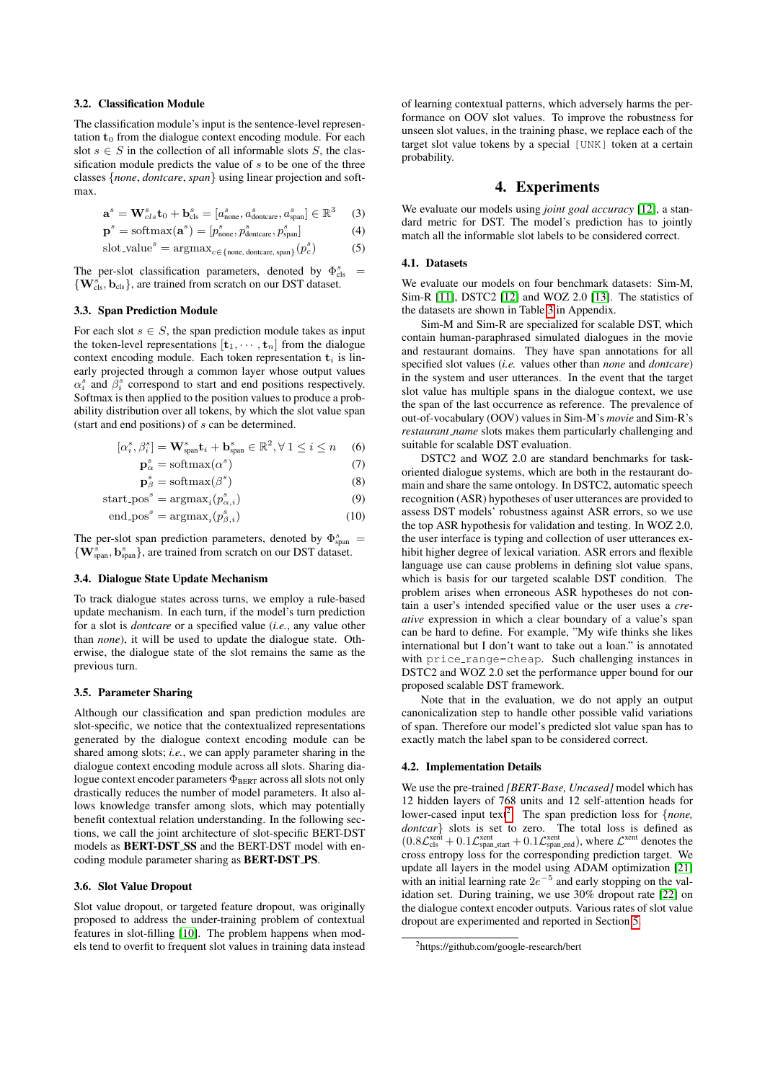#### <span id="page-2-0"></span>3.2. Classification Module

The classification module's input is the sentence-level representation  $t_0$  from the dialogue context encoding module. For each slot  $s \in S$  in the collection of all informable slots S, the classification module predicts the value of  $s$  to be one of the three classes {*none*, *dontcare*, *span*} using linear projection and softmax.

$$
\mathbf{a}^s = \mathbf{W}_{cls}^s \mathbf{t}_0 + \mathbf{b}_{cls}^s = [a_{\text{none}}^s, a_{\text{dontcare}}^s, a_{\text{span}}^s] \in \mathbb{R}^3 \quad (3)
$$

$$
\mathbf{p}^s = \text{softmax}(\mathbf{a}^s) = [p^s_{\text{none}}, p^s_{\text{dontcare}}, p^s_{\text{span}}]
$$
(4)

$$
slot\_value^s = \operatorname{argmax}_{c \in \{\text{none, dontcare, span}\}} (p_c^s)
$$
 (5)

The per-slot classification parameters, denoted by  $\Phi_{\text{cls}}^{s}$  =  $\{ \mathbf{W}_{cls}^{s}, \mathbf{b}_{cls} \}$ , are trained from scratch on our DST dataset.

#### <span id="page-2-1"></span>3.3. Span Prediction Module

For each slot  $s \in S$ , the span prediction module takes as input the token-level representations  $[\mathbf{t}_1, \cdots, \mathbf{t}_n]$  from the dialogue context encoding module. Each token representation  $t_i$  is linearly projected through a common layer whose output values  $\alpha_i^s$  and  $\beta_i^s$  correspond to start and end positions respectively. Softmax is then applied to the position values to produce a probability distribution over all tokens, by which the slot value span (start and end positions) of s can be determined.

$$
[\alpha_i^s, \beta_i^s] = \mathbf{W}_{\text{span}}^s \mathbf{t}_i + \mathbf{b}_{\text{span}}^s \in \mathbb{R}^2, \forall 1 \le i \le n \quad (6)
$$

$$
\mathbf{p}_{\alpha}^{s} = \text{softmax}(\alpha^{s})
$$
 (7)

$$
\mathbf{p}_{\beta}^{s} = \text{softmax}(\beta^{s})
$$
\n(8)

start pos <sup>s</sup> = argmax<sup>i</sup> (p s α,i) (9) end pos <sup>s</sup> = argmax<sup>i</sup> (p s β,i) (10)

The per-slot span prediction parameters, denoted by  $\Phi_{\text{span}}^s$  =  $\{ \mathbf{W}_{\text{span}}^s, \mathbf{b}_{\text{span}}^s \}$ , are trained from scratch on our DST dataset.

#### 3.4. Dialogue State Update Mechanism

To track dialogue states across turns, we employ a rule-based update mechanism. In each turn, if the model's turn prediction for a slot is *dontcare* or a specified value (*i.e.*, any value other than *none*), it will be used to update the dialogue state. Otherwise, the dialogue state of the slot remains the same as the previous turn.

#### <span id="page-2-2"></span>3.5. Parameter Sharing

Although our classification and span prediction modules are slot-specific, we notice that the contextualized representations generated by the dialogue context encoding module can be shared among slots; *i.e.*, we can apply parameter sharing in the dialogue context encoding module across all slots. Sharing dialogue context encoder parameters  $\Phi_{BERT}$  across all slots not only drastically reduces the number of model parameters. It also allows knowledge transfer among slots, which may potentially benefit contextual relation understanding. In the following sections, we call the joint architecture of slot-specific BERT-DST models as BERT-DST SS and the BERT-DST model with encoding module parameter sharing as **BERT-DST\_PS**.

#### <span id="page-2-3"></span>3.6. Slot Value Dropout

Slot value dropout, or targeted feature dropout, was originally proposed to address the under-training problem of contextual features in slot-filling [\[10\]](#page-4-9). The problem happens when models tend to overfit to frequent slot values in training data instead of learning contextual patterns, which adversely harms the performance on OOV slot values. To improve the robustness for unseen slot values, in the training phase, we replace each of the target slot value tokens by a special [UNK] token at a certain probability.

## 4. Experiments

We evaluate our models using *joint goal accuracy* [\[12\]](#page-4-11), a standard metric for DST. The model's prediction has to jointly match all the informable slot labels to be considered correct.

#### 4.1. Datasets

We evaluate our models on four benchmark datasets: Sim-M, Sim-R [\[11\]](#page-4-10), DSTC2 [\[12\]](#page-4-11) and WOZ 2.0 [\[13\]](#page-4-12). The statistics of the datasets are shown in Table [3](#page-4-20) in Appendix.

Sim-M and Sim-R are specialized for scalable DST, which contain human-paraphrased simulated dialogues in the movie and restaurant domains. They have span annotations for all specified slot values (*i.e.* values other than *none* and *dontcare*) in the system and user utterances. In the event that the target slot value has multiple spans in the dialogue context, we use the span of the last occurrence as reference. The prevalence of out-of-vocabulary (OOV) values in Sim-M's *movie* and Sim-R's *restaurant name* slots makes them particularly challenging and suitable for scalable DST evaluation.

DSTC2 and WOZ 2.0 are standard benchmarks for taskoriented dialogue systems, which are both in the restaurant domain and share the same ontology. In DSTC2, automatic speech recognition (ASR) hypotheses of user utterances are provided to assess DST models' robustness against ASR errors, so we use the top ASR hypothesis for validation and testing. In WOZ 2.0, the user interface is typing and collection of user utterances exhibit higher degree of lexical variation. ASR errors and flexible language use can cause problems in defining slot value spans, which is basis for our targeted scalable DST condition. The problem arises when erroneous ASR hypotheses do not contain a user's intended specified value or the user uses a *creative* expression in which a clear boundary of a value's span can be hard to define. For example, "My wife thinks she likes international but I don't want to take out a loan." is annotated with price\_range=cheap. Such challenging instances in DSTC2 and WOZ 2.0 set the performance upper bound for our proposed scalable DST framework.

Note that in the evaluation, we do not apply an output canonicalization step to handle other possible valid variations of span. Therefore our model's predicted slot value span has to exactly match the label span to be considered correct.

#### 4.2. Implementation Details

We use the pre-trained *[BERT-Base, Uncased]* model which has 12 hidden layers of 768 units and 12 self-attention heads for lower-cased input text<sup>[2](#page-2-4)</sup>. The span prediction loss for {*none*, *dontcar*} slots is set to zero. The total loss is defined as  $(0.8\mathcal{L}^{\text{xent}}_{\text{cls}} + 0.1\mathcal{L}^{\text{xent}}_{\text{span.start}} + 0.1\mathcal{L}^{\text{xent}}_{\text{span.end}})$ , where  $\mathcal{L}^{\text{xent}}$  denotes the cross entropy loss for the corresponding prediction target. We update all layers in the model using ADAM optimization [\[21\]](#page-4-21) with an initial learning rate  $2e^{-5}$  and early stopping on the validation set. During training, we use 30% dropout rate [\[22\]](#page-4-22) on the dialogue context encoder outputs. Various rates of slot value dropout are experimented and reported in Section [5.](#page-3-0)

<span id="page-2-4"></span><sup>2</sup>https://github.com/google-research/bert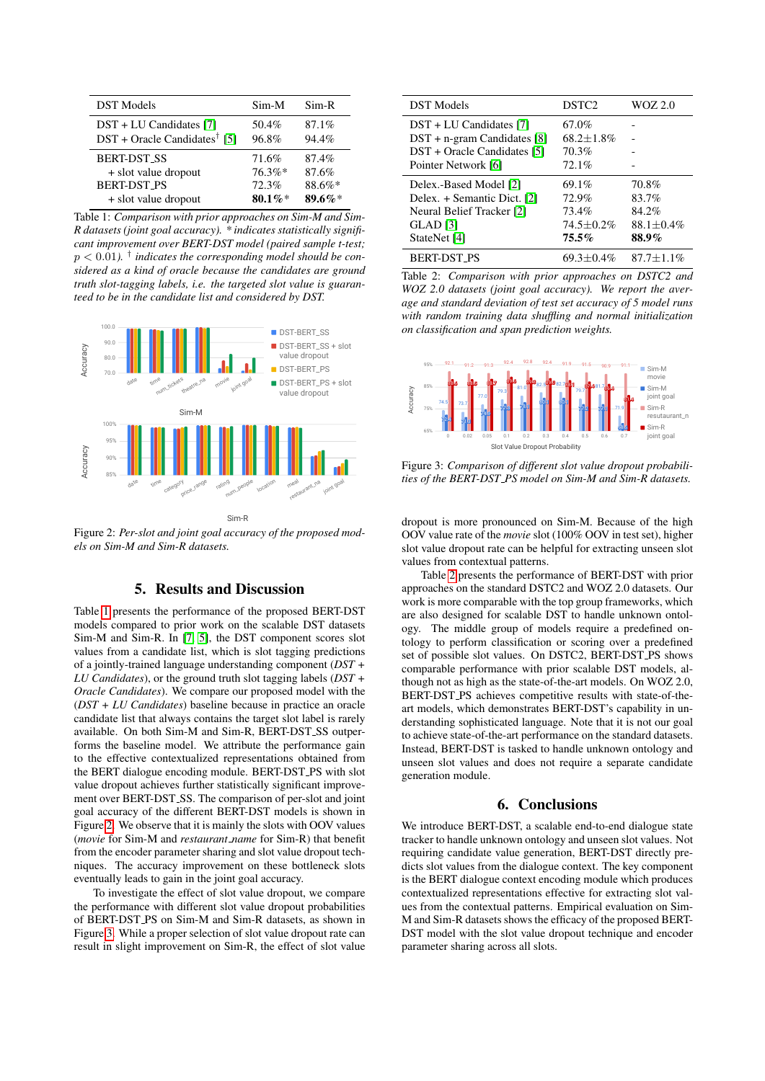<span id="page-3-1"></span>

| <b>DST</b> Models                                                       | $Sim-M$        | $Sim-R$        |
|-------------------------------------------------------------------------|----------------|----------------|
| $DST + LU$ Candidates [7]<br>$DST + Oracle$ Candidates <sup>†</sup> [5] | 50.4%<br>96.8% | 87.1%<br>94.4% |
| <b>BERT-DST_SS</b>                                                      | 71.6%          | 87.4%          |
| + slot value dropout                                                    | $76.3\%*$      | 87.6%          |
| <b>BERT-DST_PS</b>                                                      | 72.3%          | 88.6%*         |
| + slot value dropout                                                    | $80.1\%$ *     | 89.6%*         |

Table 1: *Comparison with prior approaches on Sim-M and Sim-R datasets (joint goal accuracy). \* indicates statistically significant improvement over BERT-DST model (paired sample t-test;*  $p < 0.01$ ). <sup>†</sup> indicates the corresponding model should be con*sidered as a kind of oracle because the candidates are ground truth slot-tagging labels, i.e. the targeted slot value is guaranteed to be in the candidate list and considered by DST.*

<span id="page-3-2"></span>

Figure 2: *Per-slot and joint goal accuracy of the proposed models on Sim-M and Sim-R datasets.*

## 5. Results and Discussion

<span id="page-3-0"></span>Table [1](#page-3-1) presents the performance of the proposed BERT-DST models compared to prior work on the scalable DST datasets Sim-M and Sim-R. In [\[7,](#page-4-6) [5\]](#page-4-4), the DST component scores slot values from a candidate list, which is slot tagging predictions of a jointly-trained language understanding component (*DST + LU Candidates*), or the ground truth slot tagging labels (*DST + Oracle Candidates*). We compare our proposed model with the (*DST + LU Candidates*) baseline because in practice an oracle candidate list that always contains the target slot label is rarely available. On both Sim-M and Sim-R, BERT-DST SS outperforms the baseline model. We attribute the performance gain to the effective contextualized representations obtained from the BERT dialogue encoding module. BERT-DST PS with slot value dropout achieves further statistically significant improvement over BERT-DST SS. The comparison of per-slot and joint goal accuracy of the different BERT-DST models is shown in Figure [2.](#page-3-2) We observe that it is mainly the slots with OOV values (*movie* for Sim-M and *restaurant name* for Sim-R) that benefit from the encoder parameter sharing and slot value dropout techniques. The accuracy improvement on these bottleneck slots eventually leads to gain in the joint goal accuracy.

To investigate the effect of slot value dropout, we compare the performance with different slot value dropout probabilities of BERT-DST PS on Sim-M and Sim-R datasets, as shown in Figure [3.](#page-3-3) While a proper selection of slot value dropout rate can result in slight improvement on Sim-R, the effect of slot value

<span id="page-3-4"></span>

| <b>DST</b> Models              | DSTC <sub>2</sub> | WOZ 2.0        |
|--------------------------------|-------------------|----------------|
| DST + LU Candidates [7]        | 67.0%             |                |
| $DST + n$ -gram Candidates [8] | $68.2 + 1.8\%$    |                |
| DST + Oracle Candidates [5]    | 70.3%             |                |
| Pointer Network [6]            | 72.1%             |                |
| Delex.-Based Model [2]         | 69.1%             | 70.8%          |
| Delex. + Semantic Dict. [2]    | 72.9%             | 83.7%          |
| Neural Belief Tracker [2]      | 73.4%             | 84.2%          |
| GLAD [3]                       | $74.5 + 0.2\%$    | $88.1 + 0.4\%$ |
| StateNet [4]                   | $75.5\%$          | 88.9%          |
| <b>BERT-DST PS</b>             | $69.3 + 0.4\%$    | $87.7 + 1.1\%$ |

Table 2: *Comparison with prior approaches on DSTC2 and WOZ 2.0 datasets (joint goal accuracy). We report the average and standard deviation of test set accuracy of 5 model runs with random training data shuffling and normal initialization on classification and span prediction weights.*

<span id="page-3-3"></span>

Figure 3: *Comparison of different slot value dropout probabilities of the BERT-DST PS model on Sim-M and Sim-R datasets.*

dropout is more pronounced on Sim-M. Because of the high OOV value rate of the *movie* slot (100% OOV in test set), higher slot value dropout rate can be helpful for extracting unseen slot values from contextual patterns.

Table [2](#page-3-4) presents the performance of BERT-DST with prior approaches on the standard DSTC2 and WOZ 2.0 datasets. Our work is more comparable with the top group frameworks, which are also designed for scalable DST to handle unknown ontology. The middle group of models require a predefined ontology to perform classification or scoring over a predefined set of possible slot values. On DSTC2, BERT-DST PS shows comparable performance with prior scalable DST models, although not as high as the state-of-the-art models. On WOZ 2.0, BERT-DST PS achieves competitive results with state-of-theart models, which demonstrates BERT-DST's capability in understanding sophisticated language. Note that it is not our goal to achieve state-of-the-art performance on the standard datasets. Instead, BERT-DST is tasked to handle unknown ontology and unseen slot values and does not require a separate candidate generation module.

## 6. Conclusions

We introduce BERT-DST, a scalable end-to-end dialogue state tracker to handle unknown ontology and unseen slot values. Not requiring candidate value generation, BERT-DST directly predicts slot values from the dialogue context. The key component is the BERT dialogue context encoding module which produces contextualized representations effective for extracting slot values from the contextual patterns. Empirical evaluation on Sim-M and Sim-R datasets shows the efficacy of the proposed BERT-DST model with the slot value dropout technique and encoder parameter sharing across all slots.